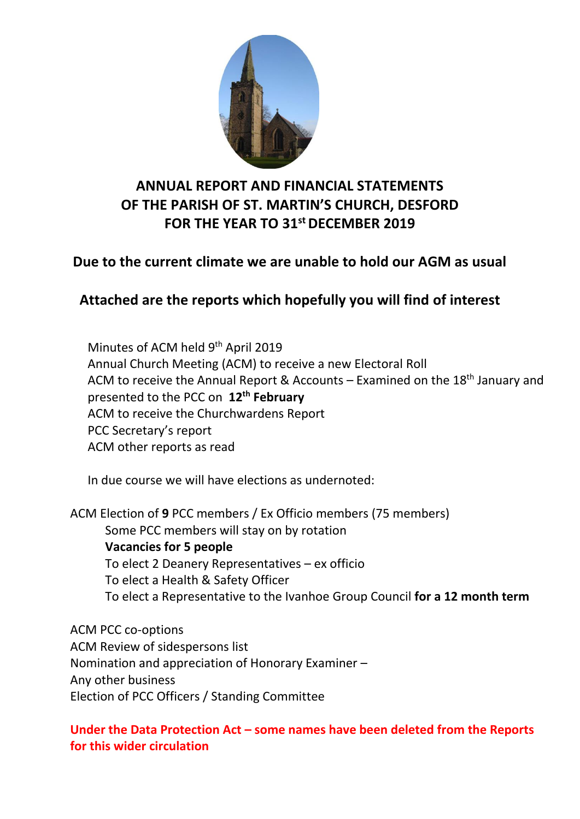

# **ANNUAL REPORT AND FINANCIAL STATEMENTS OF THE PARISH OF ST. MARTIN'S CHURCH, DESFORD FOR THE YEAR TO 31st DECEMBER 2019**

## **Due to the current climate we are unable to hold our AGM as usual**

# **Attached are the reports which hopefully you will find of interest**

Minutes of ACM held 9<sup>th</sup> April 2019 Annual Church Meeting (ACM) to receive a new Electoral Roll ACM to receive the Annual Report & Accounts – Examined on the  $18<sup>th</sup>$  January and presented to the PCC on **12th February** ACM to receive the Churchwardens Report PCC Secretary's report ACM other reports as read

In due course we will have elections as undernoted:

ACM Election of **9** PCC members / Ex Officio members (75 members) Some PCC members will stay on by rotation **Vacancies for 5 people** To elect 2 Deanery Representatives – ex officio To elect a Health & Safety Officer To elect a Representative to the Ivanhoe Group Council **for a 12 month term**

ACM PCC co-options ACM Review of sidespersons list Nomination and appreciation of Honorary Examiner – Any other business Election of PCC Officers / Standing Committee

## **Under the Data Protection Act – some names have been deleted from the Reports for this wider circulation**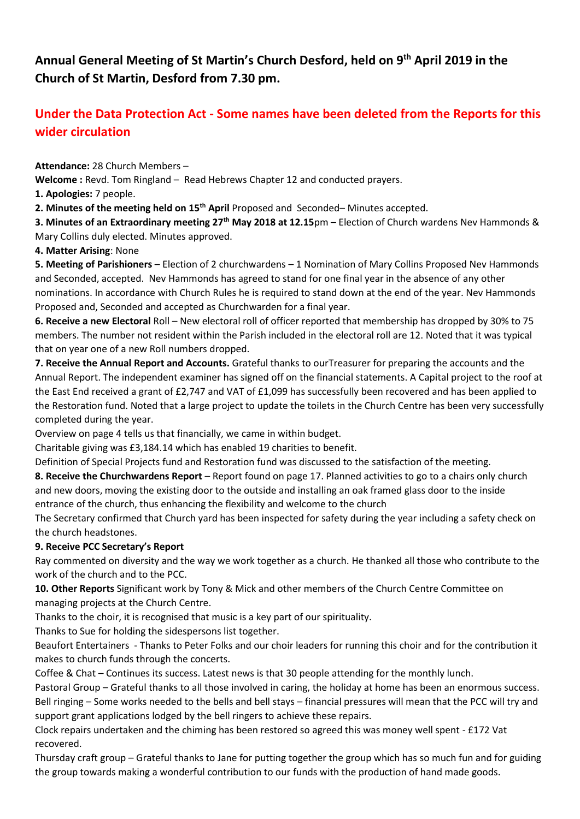## **Annual General Meeting of St Martin's Church Desford, held on 9th April 2019 in the Church of St Martin, Desford from 7.30 pm.**

## **Under the Data Protection Act - Some names have been deleted from the Reports for this wider circulation**

**Attendance:** 28 Church Members –

**Welcome :** Revd. Tom Ringland – Read Hebrews Chapter 12 and conducted prayers.

**1. Apologies:** 7 people.

**2. Minutes of the meeting held on 15th April** Proposed and Seconded– Minutes accepted.

**3. Minutes of an Extraordinary meeting 27th May 2018 at 12.15**pm – Election of Church wardens Nev Hammonds & Mary Collins duly elected. Minutes approved.

#### **4. Matter Arising**: None

**5. Meeting of Parishioners** – Election of 2 churchwardens – 1 Nomination of Mary Collins Proposed Nev Hammonds and Seconded, accepted. Nev Hammonds has agreed to stand for one final year in the absence of any other nominations. In accordance with Church Rules he is required to stand down at the end of the year. Nev Hammonds Proposed and, Seconded and accepted as Churchwarden for a final year.

**6. Receive a new Electoral** Roll – New electoral roll of officer reported that membership has dropped by 30% to 75 members. The number not resident within the Parish included in the electoral roll are 12. Noted that it was typical that on year one of a new Roll numbers dropped.

**7. Receive the Annual Report and Accounts.** Grateful thanks to ourTreasurer for preparing the accounts and the Annual Report. The independent examiner has signed off on the financial statements. A Capital project to the roof at the East End received a grant of £2,747 and VAT of £1,099 has successfully been recovered and has been applied to the Restoration fund. Noted that a large project to update the toilets in the Church Centre has been very successfully completed during the year.

Overview on page 4 tells us that financially, we came in within budget.

Charitable giving was £3,184.14 which has enabled 19 charities to benefit.

Definition of Special Projects fund and Restoration fund was discussed to the satisfaction of the meeting.

**8. Receive the Churchwardens Report** – Report found on page 17. Planned activities to go to a chairs only church and new doors, moving the existing door to the outside and installing an oak framed glass door to the inside entrance of the church, thus enhancing the flexibility and welcome to the church

The Secretary confirmed that Church yard has been inspected for safety during the year including a safety check on the church headstones.

#### **9. Receive PCC Secretary's Report**

Ray commented on diversity and the way we work together as a church. He thanked all those who contribute to the work of the church and to the PCC.

**10. Other Reports** Significant work by Tony & Mick and other members of the Church Centre Committee on managing projects at the Church Centre.

Thanks to the choir, it is recognised that music is a key part of our spirituality.

Thanks to Sue for holding the sidespersons list together.

Beaufort Entertainers - Thanks to Peter Folks and our choir leaders for running this choir and for the contribution it makes to church funds through the concerts.

Coffee & Chat – Continues its success. Latest news is that 30 people attending for the monthly lunch.

Pastoral Group – Grateful thanks to all those involved in caring, the holiday at home has been an enormous success. Bell ringing – Some works needed to the bells and bell stays – financial pressures will mean that the PCC will try and support grant applications lodged by the bell ringers to achieve these repairs.

Clock repairs undertaken and the chiming has been restored so agreed this was money well spent - £172 Vat recovered.

Thursday craft group – Grateful thanks to Jane for putting together the group which has so much fun and for guiding the group towards making a wonderful contribution to our funds with the production of hand made goods.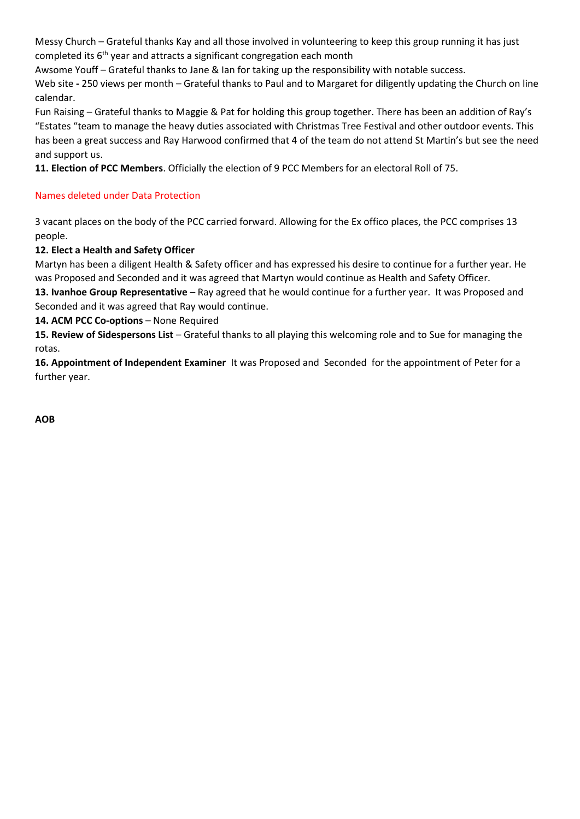Messy Church – Grateful thanks Kay and all those involved in volunteering to keep this group running it has just completed its 6<sup>th</sup> year and attracts a significant congregation each month

Awsome Youff – Grateful thanks to Jane & Ian for taking up the responsibility with notable success.

Web site **-** 250 views per month – Grateful thanks to Paul and to Margaret for diligently updating the Church on line calendar.

Fun Raising – Grateful thanks to Maggie & Pat for holding this group together. There has been an addition of Ray's "Estates "team to manage the heavy duties associated with Christmas Tree Festival and other outdoor events. This has been a great success and Ray Harwood confirmed that 4 of the team do not attend St Martin's but see the need and support us.

**11. Election of PCC Members**. Officially the election of 9 PCC Members for an electoral Roll of 75.

#### Names deleted under Data Protection

3 vacant places on the body of the PCC carried forward. Allowing for the Ex offico places, the PCC comprises 13 people.

**12. Elect a Health and Safety Officer**

Martyn has been a diligent Health & Safety officer and has expressed his desire to continue for a further year. He was Proposed and Seconded and it was agreed that Martyn would continue as Health and Safety Officer.

**13. Ivanhoe Group Representative** – Ray agreed that he would continue for a further year. It was Proposed and Seconded and it was agreed that Ray would continue.

**14. ACM PCC Co-options** – None Required

**15. Review of Sidespersons List** – Grateful thanks to all playing this welcoming role and to Sue for managing the rotas.

**16. Appointment of Independent Examiner** It was Proposed and Seconded for the appointment of Peter for a further year.

**AOB**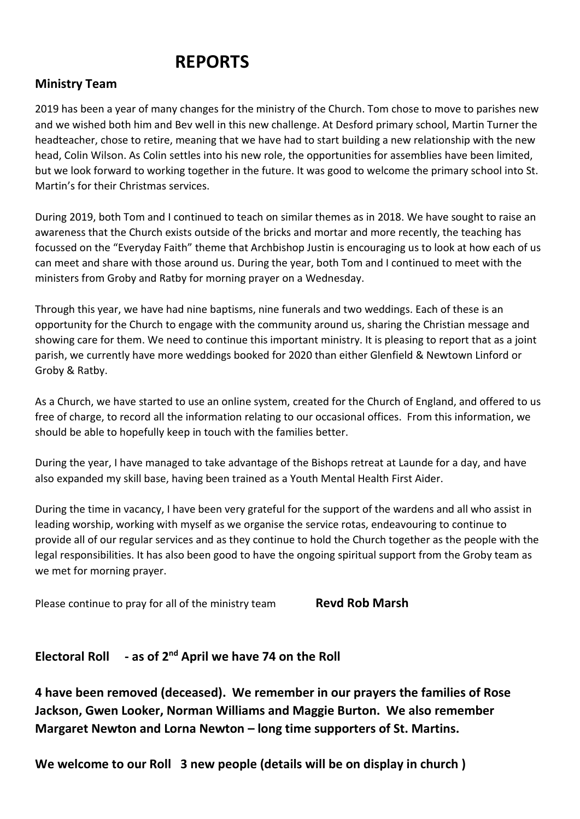# **REPORTS**

## **Ministry Team**

2019 has been a year of many changes for the ministry of the Church. Tom chose to move to parishes new and we wished both him and Bev well in this new challenge. At Desford primary school, Martin Turner the headteacher, chose to retire, meaning that we have had to start building a new relationship with the new head, Colin Wilson. As Colin settles into his new role, the opportunities for assemblies have been limited, but we look forward to working together in the future. It was good to welcome the primary school into St. Martin's for their Christmas services.

During 2019, both Tom and I continued to teach on similar themes as in 2018. We have sought to raise an awareness that the Church exists outside of the bricks and mortar and more recently, the teaching has focussed on the "Everyday Faith" theme that Archbishop Justin is encouraging us to look at how each of us can meet and share with those around us. During the year, both Tom and I continued to meet with the ministers from Groby and Ratby for morning prayer on a Wednesday.

Through this year, we have had nine baptisms, nine funerals and two weddings. Each of these is an opportunity for the Church to engage with the community around us, sharing the Christian message and showing care for them. We need to continue this important ministry. It is pleasing to report that as a joint parish, we currently have more weddings booked for 2020 than either Glenfield & Newtown Linford or Groby & Ratby.

As a Church, we have started to use an online system, created for the Church of England, and offered to us free of charge, to record all the information relating to our occasional offices. From this information, we should be able to hopefully keep in touch with the families better.

During the year, I have managed to take advantage of the Bishops retreat at Launde for a day, and have also expanded my skill base, having been trained as a Youth Mental Health First Aider.

During the time in vacancy, I have been very grateful for the support of the wardens and all who assist in leading worship, working with myself as we organise the service rotas, endeavouring to continue to provide all of our regular services and as they continue to hold the Church together as the people with the legal responsibilities. It has also been good to have the ongoing spiritual support from the Groby team as we met for morning prayer.

Please continue to pray for all of the ministry team **Revd Rob Marsh** 

#### **Electoral Roll - as of 2nd April we have 74 on the Roll**

**4 have been removed (deceased). We remember in our prayers the families of Rose Jackson, Gwen Looker, Norman Williams and Maggie Burton. We also remember Margaret Newton and Lorna Newton – long time supporters of St. Martins.**

**We welcome to our Roll 3 new people (details will be on display in church )**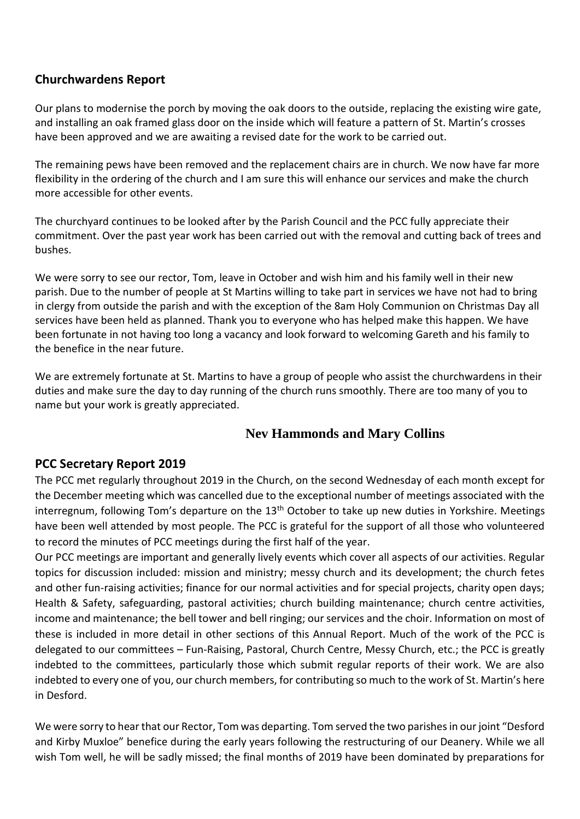## **Churchwardens Report**

Our plans to modernise the porch by moving the oak doors to the outside, replacing the existing wire gate, and installing an oak framed glass door on the inside which will feature a pattern of St. Martin's crosses have been approved and we are awaiting a revised date for the work to be carried out.

The remaining pews have been removed and the replacement chairs are in church. We now have far more flexibility in the ordering of the church and I am sure this will enhance our services and make the church more accessible for other events.

The churchyard continues to be looked after by the Parish Council and the PCC fully appreciate their commitment. Over the past year work has been carried out with the removal and cutting back of trees and bushes.

We were sorry to see our rector, Tom, leave in October and wish him and his family well in their new parish. Due to the number of people at St Martins willing to take part in services we have not had to bring in clergy from outside the parish and with the exception of the 8am Holy Communion on Christmas Day all services have been held as planned. Thank you to everyone who has helped make this happen. We have been fortunate in not having too long a vacancy and look forward to welcoming Gareth and his family to the benefice in the near future.

We are extremely fortunate at St. Martins to have a group of people who assist the churchwardens in their duties and make sure the day to day running of the church runs smoothly. There are too many of you to name but your work is greatly appreciated.

## **Nev Hammonds and Mary Collins**

#### **PCC Secretary Report 2019**

The PCC met regularly throughout 2019 in the Church, on the second Wednesday of each month except for the December meeting which was cancelled due to the exceptional number of meetings associated with the interregnum, following Tom's departure on the 13<sup>th</sup> October to take up new duties in Yorkshire. Meetings have been well attended by most people. The PCC is grateful for the support of all those who volunteered to record the minutes of PCC meetings during the first half of the year.

Our PCC meetings are important and generally lively events which cover all aspects of our activities. Regular topics for discussion included: mission and ministry; messy church and its development; the church fetes and other fun-raising activities; finance for our normal activities and for special projects, charity open days; Health & Safety, safeguarding, pastoral activities; church building maintenance; church centre activities, income and maintenance; the bell tower and bell ringing; our services and the choir. Information on most of these is included in more detail in other sections of this Annual Report. Much of the work of the PCC is delegated to our committees – Fun-Raising, Pastoral, Church Centre, Messy Church, etc.; the PCC is greatly indebted to the committees, particularly those which submit regular reports of their work. We are also indebted to every one of you, our church members, for contributing so much to the work of St. Martin's here in Desford.

We were sorry to hear that our Rector, Tom was departing. Tom served the two parishes in our joint "Desford and Kirby Muxloe" benefice during the early years following the restructuring of our Deanery. While we all wish Tom well, he will be sadly missed; the final months of 2019 have been dominated by preparations for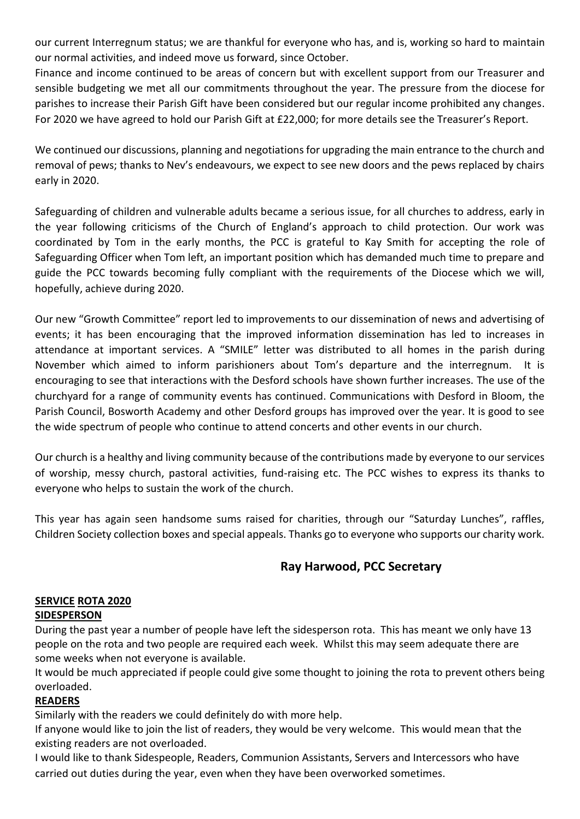our current Interregnum status; we are thankful for everyone who has, and is, working so hard to maintain our normal activities, and indeed move us forward, since October.

Finance and income continued to be areas of concern but with excellent support from our Treasurer and sensible budgeting we met all our commitments throughout the year. The pressure from the diocese for parishes to increase their Parish Gift have been considered but our regular income prohibited any changes. For 2020 we have agreed to hold our Parish Gift at £22,000; for more details see the Treasurer's Report.

We continued our discussions, planning and negotiations for upgrading the main entrance to the church and removal of pews; thanks to Nev's endeavours, we expect to see new doors and the pews replaced by chairs early in 2020.

Safeguarding of children and vulnerable adults became a serious issue, for all churches to address, early in the year following criticisms of the Church of England's approach to child protection. Our work was coordinated by Tom in the early months, the PCC is grateful to Kay Smith for accepting the role of Safeguarding Officer when Tom left, an important position which has demanded much time to prepare and guide the PCC towards becoming fully compliant with the requirements of the Diocese which we will, hopefully, achieve during 2020.

Our new "Growth Committee" report led to improvements to our dissemination of news and advertising of events; it has been encouraging that the improved information dissemination has led to increases in attendance at important services. A "SMILE" letter was distributed to all homes in the parish during November which aimed to inform parishioners about Tom's departure and the interregnum. It is encouraging to see that interactions with the Desford schools have shown further increases. The use of the churchyard for a range of community events has continued. Communications with Desford in Bloom, the Parish Council, Bosworth Academy and other Desford groups has improved over the year. It is good to see the wide spectrum of people who continue to attend concerts and other events in our church.

Our church is a healthy and living community because of the contributions made by everyone to our services of worship, messy church, pastoral activities, fund-raising etc. The PCC wishes to express its thanks to everyone who helps to sustain the work of the church.

This year has again seen handsome sums raised for charities, through our "Saturday Lunches", raffles, Children Society collection boxes and special appeals. Thanks go to everyone who supports our charity work.

## **Ray Harwood, PCC Secretary**

#### **SERVICE ROTA 2020**

#### **SIDESPERSON**

During the past year a number of people have left the sidesperson rota. This has meant we only have 13 people on the rota and two people are required each week. Whilst this may seem adequate there are some weeks when not everyone is available.

It would be much appreciated if people could give some thought to joining the rota to prevent others being overloaded.

#### **READERS**

Similarly with the readers we could definitely do with more help.

If anyone would like to join the list of readers, they would be very welcome. This would mean that the existing readers are not overloaded.

I would like to thank Sidespeople, Readers, Communion Assistants, Servers and Intercessors who have carried out duties during the year, even when they have been overworked sometimes.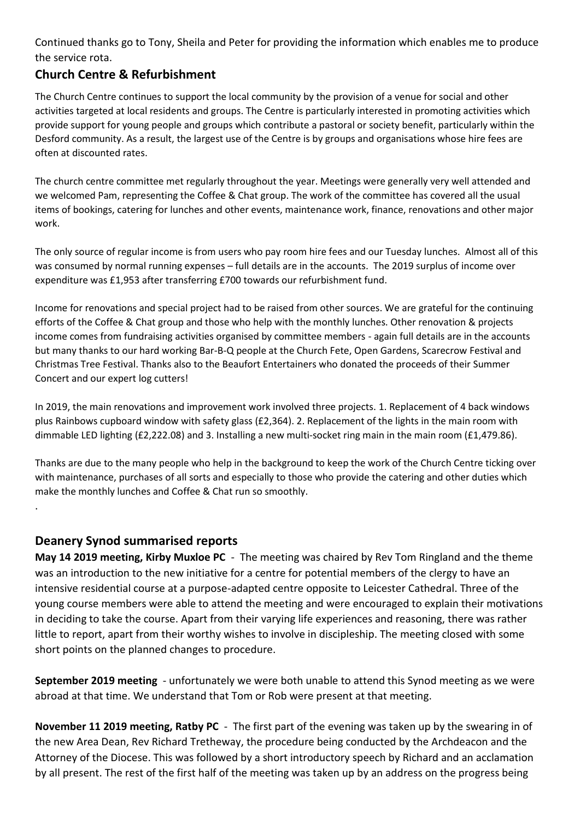Continued thanks go to Tony, Sheila and Peter for providing the information which enables me to produce the service rota.

## **Church Centre & Refurbishment**

The Church Centre continues to support the local community by the provision of a venue for social and other activities targeted at local residents and groups. The Centre is particularly interested in promoting activities which provide support for young people and groups which contribute a pastoral or society benefit, particularly within the Desford community. As a result, the largest use of the Centre is by groups and organisations whose hire fees are often at discounted rates.

The church centre committee met regularly throughout the year. Meetings were generally very well attended and we welcomed Pam, representing the Coffee & Chat group. The work of the committee has covered all the usual items of bookings, catering for lunches and other events, maintenance work, finance, renovations and other major work.

The only source of regular income is from users who pay room hire fees and our Tuesday lunches. Almost all of this was consumed by normal running expenses – full details are in the accounts. The 2019 surplus of income over expenditure was £1,953 after transferring £700 towards our refurbishment fund.

Income for renovations and special project had to be raised from other sources. We are grateful for the continuing efforts of the Coffee & Chat group and those who help with the monthly lunches. Other renovation & projects income comes from fundraising activities organised by committee members - again full details are in the accounts but many thanks to our hard working Bar-B-Q people at the Church Fete, Open Gardens, Scarecrow Festival and Christmas Tree Festival. Thanks also to the Beaufort Entertainers who donated the proceeds of their Summer Concert and our expert log cutters!

In 2019, the main renovations and improvement work involved three projects. 1. Replacement of 4 back windows plus Rainbows cupboard window with safety glass (£2,364). 2. Replacement of the lights in the main room with dimmable LED lighting (£2,222.08) and 3. Installing a new multi-socket ring main in the main room (£1,479.86).

Thanks are due to the many people who help in the background to keep the work of the Church Centre ticking over with maintenance, purchases of all sorts and especially to those who provide the catering and other duties which make the monthly lunches and Coffee & Chat run so smoothly.

#### **Deanery Synod summarised reports**

.

**May 14 2019 meeting, Kirby Muxloe PC** - The meeting was chaired by Rev Tom Ringland and the theme was an introduction to the new initiative for a centre for potential members of the clergy to have an intensive residential course at a purpose-adapted centre opposite to Leicester Cathedral. Three of the young course members were able to attend the meeting and were encouraged to explain their motivations in deciding to take the course. Apart from their varying life experiences and reasoning, there was rather little to report, apart from their worthy wishes to involve in discipleship. The meeting closed with some short points on the planned changes to procedure.

**September 2019 meeting** - unfortunately we were both unable to attend this Synod meeting as we were abroad at that time. We understand that Tom or Rob were present at that meeting.

**November 11 2019 meeting, Ratby PC** - The first part of the evening was taken up by the swearing in of the new Area Dean, Rev Richard Tretheway, the procedure being conducted by the Archdeacon and the Attorney of the Diocese. This was followed by a short introductory speech by Richard and an acclamation by all present. The rest of the first half of the meeting was taken up by an address on the progress being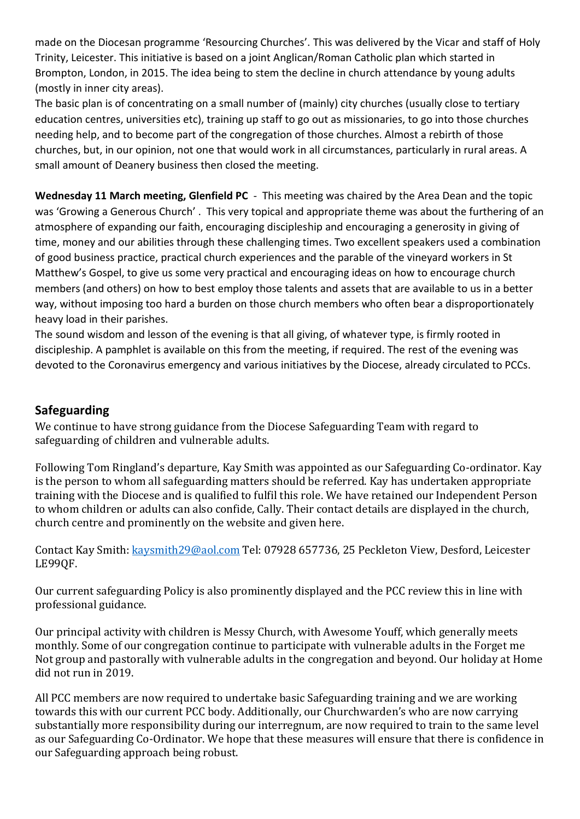made on the Diocesan programme 'Resourcing Churches'. This was delivered by the Vicar and staff of Holy Trinity, Leicester. This initiative is based on a joint Anglican/Roman Catholic plan which started in Brompton, London, in 2015. The idea being to stem the decline in church attendance by young adults (mostly in inner city areas).

The basic plan is of concentrating on a small number of (mainly) city churches (usually close to tertiary education centres, universities etc), training up staff to go out as missionaries, to go into those churches needing help, and to become part of the congregation of those churches. Almost a rebirth of those churches, but, in our opinion, not one that would work in all circumstances, particularly in rural areas. A small amount of Deanery business then closed the meeting.

**Wednesday 11 March meeting, Glenfield PC** - This meeting was chaired by the Area Dean and the topic was 'Growing a Generous Church' . This very topical and appropriate theme was about the furthering of an atmosphere of expanding our faith, encouraging discipleship and encouraging a generosity in giving of time, money and our abilities through these challenging times. Two excellent speakers used a combination of good business practice, practical church experiences and the parable of the vineyard workers in St Matthew's Gospel, to give us some very practical and encouraging ideas on how to encourage church members (and others) on how to best employ those talents and assets that are available to us in a better way, without imposing too hard a burden on those church members who often bear a disproportionately heavy load in their parishes.

The sound wisdom and lesson of the evening is that all giving, of whatever type, is firmly rooted in discipleship. A pamphlet is available on this from the meeting, if required. The rest of the evening was devoted to the Coronavirus emergency and various initiatives by the Diocese, already circulated to PCCs.

#### **Safeguarding**

We continue to have strong guidance from the Diocese Safeguarding Team with regard to safeguarding of children and vulnerable adults.

Following Tom Ringland's departure, Kay Smith was appointed as our Safeguarding Co-ordinator. Kay is the person to whom all safeguarding matters should be referred. Kay has undertaken appropriate training with the Diocese and is qualified to fulfil this role. We have retained our Independent Person to whom children or adults can also confide, Cally. Their contact details are displayed in the church, church centre and prominently on the website and given here.

Contact Kay Smith[: kaysmith29@aol.com](mailto:kaysmith29@aol.com) Tel: 07928 657736, 25 Peckleton View, Desford, Leicester LE99QF.

Our current safeguarding Policy is also prominently displayed and the PCC review this in line with professional guidance.

Our principal activity with children is Messy Church, with Awesome Youff, which generally meets monthly. Some of our congregation continue to participate with vulnerable adults in the Forget me Not group and pastorally with vulnerable adults in the congregation and beyond. Our holiday at Home did not run in 2019.

All PCC members are now required to undertake basic Safeguarding training and we are working towards this with our current PCC body. Additionally, our Churchwarden's who are now carrying substantially more responsibility during our interregnum, are now required to train to the same level as our Safeguarding Co-Ordinator. We hope that these measures will ensure that there is confidence in our Safeguarding approach being robust.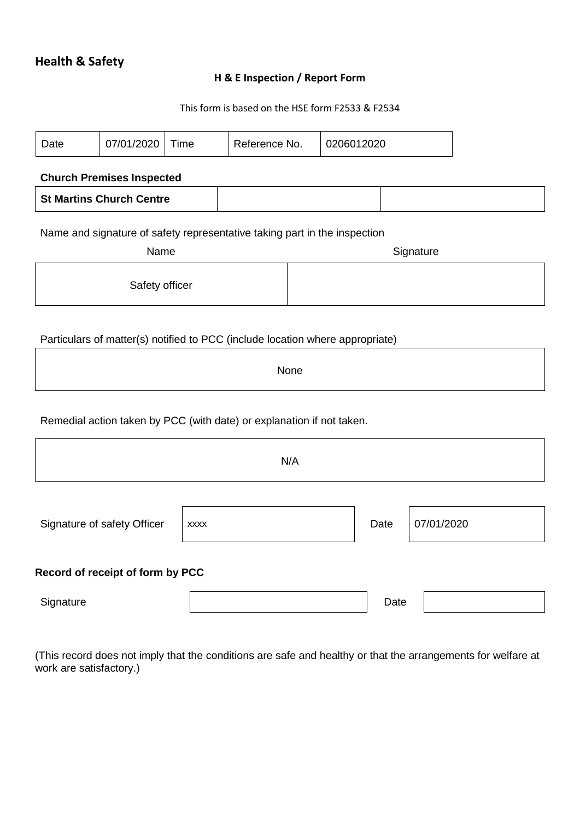#### **H & E Inspection / Report Form**

#### This form is based on the HSE form F2533 & F2534

| Date                                                                                           | 07/01/2020 | Time | Reference No. |  | 0206012020 |  |  |  |  |
|------------------------------------------------------------------------------------------------|------------|------|---------------|--|------------|--|--|--|--|
| <b>Church Premises Inspected</b>                                                               |            |      |               |  |            |  |  |  |  |
| <b>St Martins Church Centre</b>                                                                |            |      |               |  |            |  |  |  |  |
| Name and signature of safety representative taking part in the inspection<br>Name<br>Signature |            |      |               |  |            |  |  |  |  |
| Safety officer                                                                                 |            |      |               |  |            |  |  |  |  |
|                                                                                                |            |      |               |  |            |  |  |  |  |
| Particulars of matter(s) notified to PCC (include location where appropriate)                  |            |      |               |  |            |  |  |  |  |

None

Remedial action taken by PCC (with date) or explanation if not taken.

| N/A                              |             |      |            |  |  |  |  |
|----------------------------------|-------------|------|------------|--|--|--|--|
| Signature of safety Officer      | <b>XXXX</b> | Date | 07/01/2020 |  |  |  |  |
| Record of receipt of form by PCC |             |      |            |  |  |  |  |
| Signature                        |             | Date |            |  |  |  |  |

(This record does not imply that the conditions are safe and healthy or that the arrangements for welfare at work are satisfactory.)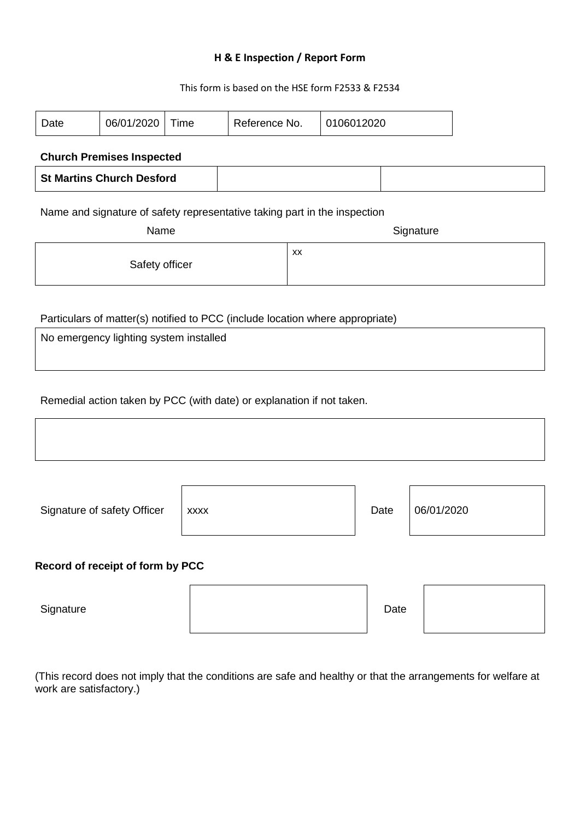#### **H & E Inspection / Report Form**

This form is based on the HSE form F2533 & F2534

| Date                                                                                           | 06/01/2020                             | Time        | Reference No.                                                                 |    | 0106012020 |      |            |  |  |
|------------------------------------------------------------------------------------------------|----------------------------------------|-------------|-------------------------------------------------------------------------------|----|------------|------|------------|--|--|
|                                                                                                | <b>Church Premises Inspected</b>       |             |                                                                               |    |            |      |            |  |  |
| <b>St Martins Church Desford</b>                                                               |                                        |             |                                                                               |    |            |      |            |  |  |
|                                                                                                |                                        |             |                                                                               |    |            |      |            |  |  |
| Name and signature of safety representative taking part in the inspection<br>Name<br>Signature |                                        |             |                                                                               |    |            |      |            |  |  |
| Safety officer                                                                                 |                                        |             |                                                                               | XX |            |      |            |  |  |
|                                                                                                | No emergency lighting system installed |             | Particulars of matter(s) notified to PCC (include location where appropriate) |    |            |      |            |  |  |
|                                                                                                |                                        |             | Remedial action taken by PCC (with date) or explanation if not taken.         |    |            |      |            |  |  |
|                                                                                                | Signature of safety Officer            | <b>XXXX</b> |                                                                               |    |            | Date | 06/01/2020 |  |  |
| Record of receipt of form by PCC                                                               |                                        |             |                                                                               |    |            |      |            |  |  |
| Signature                                                                                      |                                        |             |                                                                               |    |            | Date |            |  |  |

(This record does not imply that the conditions are safe and healthy or that the arrangements for welfare at work are satisfactory.)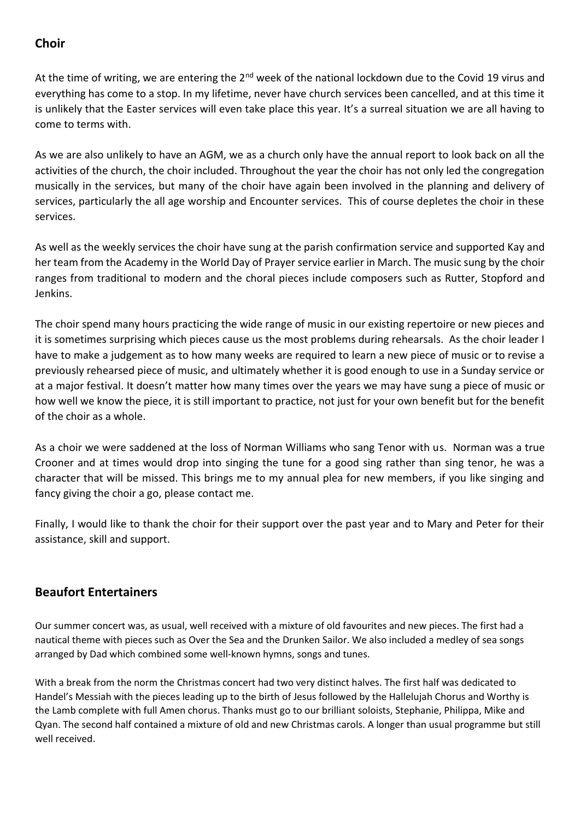## **Choir**

At the time of writing, we are entering the 2<sup>nd</sup> week of the national lockdown due to the Covid 19 virus and everything has come to a stop. In my lifetime, never have church services been cancelled, and at this time it is unlikely that the Easter services will even take place this year. It's a surreal situation we are all having to come to terms with.

As we are also unlikely to have an AGM, we as a church only have the annual report to look back on all the activities of the church, the choir included. Throughout the year the choir has not only led the congregation musically in the services, but many of the choir have again been involved in the planning and delivery of services, particularly the all age worship and Encounter services. This of course depletes the choir in these services.

As well as the weekly services the choir have sung at the parish confirmation service and supported Kay and her team from the Academy in the World Day of Prayer service earlier in March. The music sung by the choir ranges from traditional to modern and the choral pieces include composers such as Rutter, Stopford and Jenkins.

The choir spend many hours practicing the wide range of music in our existing repertoire or new pieces and it is sometimes surprising which pieces cause us the most problems during rehearsals. As the choir leader I have to make a judgement as to how many weeks are required to learn a new piece of music or to revise a previously rehearsed piece of music, and ultimately whether it is good enough to use in a Sunday service or at a major festival. It doesn't matter how many times over the years we may have sung a piece of music or how well we know the piece, it is still important to practice, not just for your own benefit but for the benefit of the choir as a whole.

As a choir we were saddened at the loss of Norman Williams who sang Tenor with us. Norman was a true Crooner and at times would drop into singing the tune for a good sing rather than sing tenor, he was a character that will be missed. This brings me to my annual plea for new members, if you like singing and fancy giving the choir a go, please contact me.

Finally, I would like to thank the choir for their support over the past year and to Mary and Peter for their assistance, skill and support.

## **Beaufort Entertainers**

Our summer concert was, as usual, well received with a mixture of old favourites and new pieces. The first had a nautical theme with pieces such as Over the Sea and the Drunken Sailor. We also included a medley of sea songs arranged by Dad which combined some well-known hymns, songs and tunes.

With a break from the norm the Christmas concert had two very distinct halves. The first half was dedicated to Handel's Messiah with the pieces leading up to the birth of Jesus followed by the Hallelujah Chorus and Worthy is the Lamb complete with full Amen chorus. Thanks must go to our brilliant soloists, Stephanie, Philippa, Mike and Qyan. The second half contained a mixture of old and new Christmas carols. A longer than usual programme but still well received.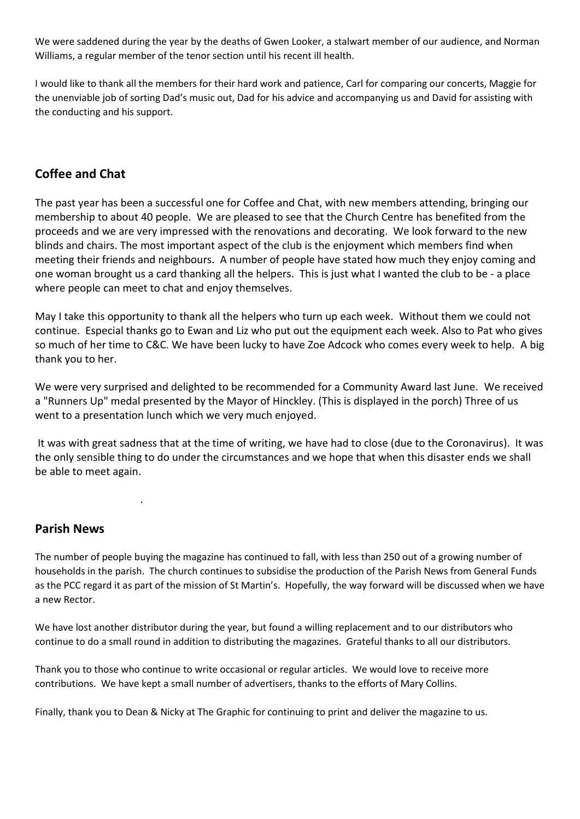We were saddened during the year by the deaths of Gwen Looker, a stalwart member of our audience, and Norman Williams, a regular member of the tenor section until his recent ill health.

I would like to thank all the members for their hard work and patience, Carl for comparing our concerts, Maggie for the unenviable job of sorting Dad's music out, Dad for his advice and accompanying us and David for assisting with the conducting and his support.

#### **Coffee and Chat**

The past year has been a successful one for Coffee and Chat, with new members attending, bringing our membership to about 40 people. We are pleased to see that the Church Centre has benefited from the proceeds and we are very impressed with the renovations and decorating. We look forward to the new blinds and chairs. The most important aspect of the club is the enjoyment which members find when meeting their friends and neighbours. A number of people have stated how much they enjoy coming and one woman brought us a card thanking all the helpers. This is just what I wanted the club to be - a place where people can meet to chat and enjoy themselves.

May I take this opportunity to thank all the helpers who turn up each week. Without them we could not continue. Especial thanks go to Ewan and Liz who put out the equipment each week. Also to Pat who gives so much of her time to C&C. We have been lucky to have Zoe Adcock who comes every week to help. A big thank you to her.

We were very surprised and delighted to be recommended for a Community Award last June. We received a "Runners Up" medal presented by the Mayor of Hinckley. (This is displayed in the porch) Three of us went to a presentation lunch which we very much enjoyed.

It was with great sadness that at the time of writing, we have had to close (due to the Coronavirus). It was the only sensible thing to do under the circumstances and we hope that when this disaster ends we shall be able to meet again.

#### **Parish News**

.

The number of people buying the magazine has continued to fall, with less than 250 out of a growing number of households in the parish. The church continues to subsidise the production of the Parish News from General Funds as the PCC regard it as part of the mission of St Martin's. Hopefully, the way forward will be discussed when we have a new Rector.

We have lost another distributor during the year, but found a willing replacement and to our distributors who continue to do a small round in addition to distributing the magazines. Grateful thanks to all our distributors.

Thank you to those who continue to write occasional or regular articles. We would love to receive more contributions. We have kept a small number of advertisers, thanks to the efforts of Mary Collins.

Finally, thank you to Dean & Nicky at The Graphic for continuing to print and deliver the magazine to us.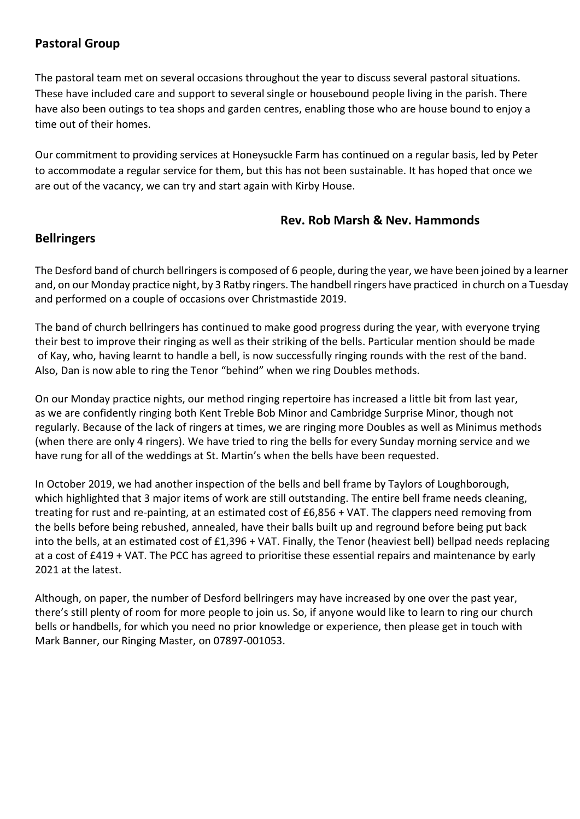## **Pastoral Group**

The pastoral team met on several occasions throughout the year to discuss several pastoral situations. These have included care and support to several single or housebound people living in the parish. There have also been outings to tea shops and garden centres, enabling those who are house bound to enjoy a time out of their homes.

Our commitment to providing services at Honeysuckle Farm has continued on a regular basis, led by Peter to accommodate a regular service for them, but this has not been sustainable. It has hoped that once we are out of the vacancy, we can try and start again with Kirby House.

#### **Rev. Rob Marsh & Nev. Hammonds**

## **Bellringers**

The Desford band of church bellringers is composed of 6 people, during the year, we have been joined by a learner and, on our Monday practice night, by 3 Ratby ringers. The handbell ringers have practiced in church on a Tuesday and performed on a couple of occasions over Christmastide 2019.

The band of church bellringers has continued to make good progress during the year, with everyone trying their best to improve their ringing as well as their striking of the bells. Particular mention should be made of Kay, who, having learnt to handle a bell, is now successfully ringing rounds with the rest of the band. Also, Dan is now able to ring the Tenor "behind" when we ring Doubles methods.

On our Monday practice nights, our method ringing repertoire has increased a little bit from last year, as we are confidently ringing both Kent Treble Bob Minor and Cambridge Surprise Minor, though not regularly. Because of the lack of ringers at times, we are ringing more Doubles as well as Minimus methods (when there are only 4 ringers). We have tried to ring the bells for every Sunday morning service and we have rung for all of the weddings at St. Martin's when the bells have been requested.

In October 2019, we had another inspection of the bells and bell frame by Taylors of Loughborough, which highlighted that 3 major items of work are still outstanding. The entire bell frame needs cleaning, treating for rust and re-painting, at an estimated cost of £6,856 + VAT. The clappers need removing from the bells before being rebushed, annealed, have their balls built up and reground before being put back into the bells, at an estimated cost of £1,396 + VAT. Finally, the Tenor (heaviest bell) bellpad needs replacing at a cost of £419 + VAT. The PCC has agreed to prioritise these essential repairs and maintenance by early 2021 at the latest.

Although, on paper, the number of Desford bellringers may have increased by one over the past year, there's still plenty of room for more people to join us. So, if anyone would like to learn to ring our church bells or handbells, for which you need no prior knowledge or experience, then please get in touch with Mark Banner, our Ringing Master, on 07897-001053.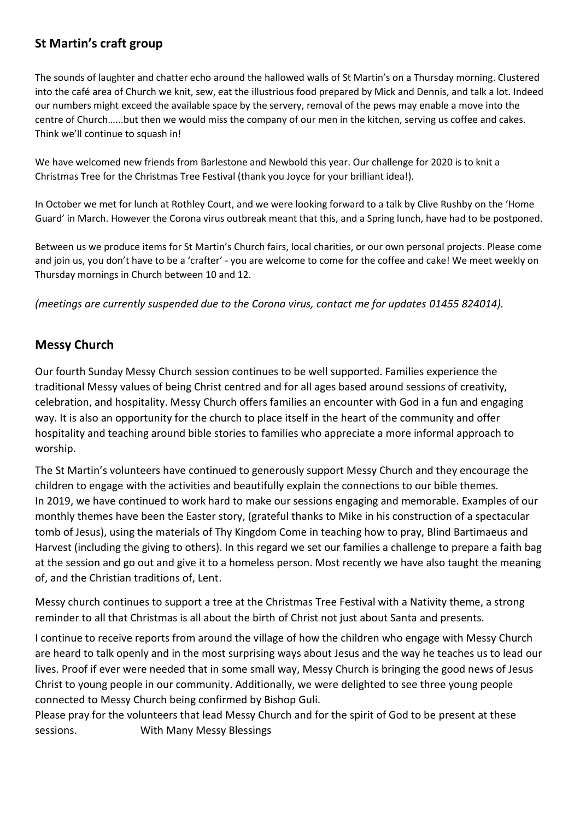## **St Martin's craft group**

The sounds of laughter and chatter echo around the hallowed walls of St Martin's on a Thursday morning. Clustered into the café area of Church we knit, sew, eat the illustrious food prepared by Mick and Dennis, and talk a lot. Indeed our numbers might exceed the available space by the servery, removal of the pews may enable a move into the centre of Church…...but then we would miss the company of our men in the kitchen, serving us coffee and cakes. Think we'll continue to squash in!

We have welcomed new friends from Barlestone and Newbold this year. Our challenge for 2020 is to knit a Christmas Tree for the Christmas Tree Festival (thank you Joyce for your brilliant idea!).

In October we met for lunch at Rothley Court, and we were looking forward to a talk by Clive Rushby on the 'Home Guard' in March. However the Corona virus outbreak meant that this, and a Spring lunch, have had to be postponed.

Between us we produce items for St Martin's Church fairs, local charities, or our own personal projects. Please come and join us, you don't have to be a 'crafter' - you are welcome to come for the coffee and cake! We meet weekly on Thursday mornings in Church between 10 and 12.

*(meetings are currently suspended due to the Corona virus, contact me for updates 01455 824014).*

## **Messy Church**

Our fourth Sunday Messy Church session continues to be well supported. Families experience the traditional Messy values of being Christ centred and for all ages based around sessions of creativity, celebration, and hospitality. Messy Church offers families an encounter with God in a fun and engaging way. It is also an opportunity for the church to place itself in the heart of the community and offer hospitality and teaching around bible stories to families who appreciate a more informal approach to worship.

The St Martin's volunteers have continued to generously support Messy Church and they encourage the children to engage with the activities and beautifully explain the connections to our bible themes. In 2019, we have continued to work hard to make our sessions engaging and memorable. Examples of our monthly themes have been the Easter story, (grateful thanks to Mike in his construction of a spectacular tomb of Jesus), using the materials of Thy Kingdom Come in teaching how to pray, Blind Bartimaeus and Harvest (including the giving to others). In this regard we set our families a challenge to prepare a faith bag at the session and go out and give it to a homeless person. Most recently we have also taught the meaning of, and the Christian traditions of, Lent.

Messy church continues to support a tree at the Christmas Tree Festival with a Nativity theme, a strong reminder to all that Christmas is all about the birth of Christ not just about Santa and presents.

I continue to receive reports from around the village of how the children who engage with Messy Church are heard to talk openly and in the most surprising ways about Jesus and the way he teaches us to lead our lives. Proof if ever were needed that in some small way, Messy Church is bringing the good news of Jesus Christ to young people in our community. Additionally, we were delighted to see three young people connected to Messy Church being confirmed by Bishop Guli.

Please pray for the volunteers that lead Messy Church and for the spirit of God to be present at these sessions. With Many Messy Blessings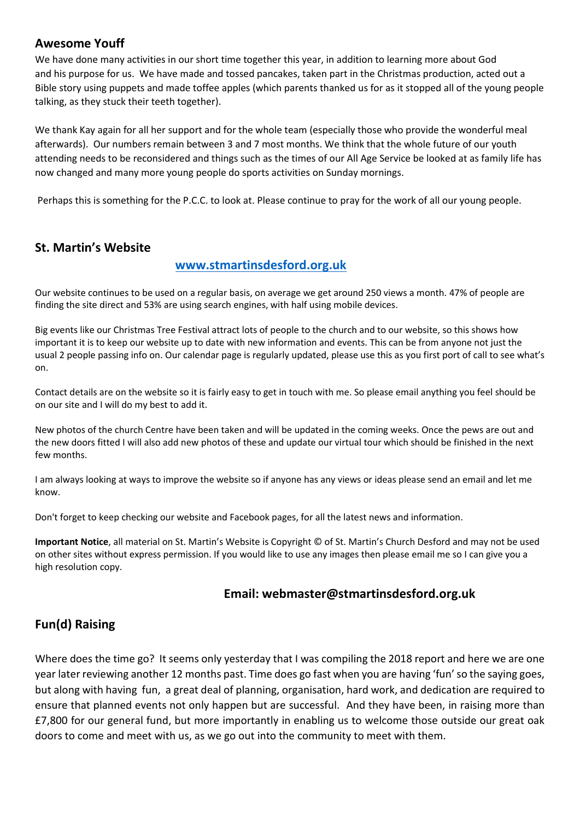#### **Awesome Youff**

We have done many activities in our short time together this year, in addition to learning more about God and his purpose for us. We have made and tossed pancakes, taken part in the Christmas production, acted out a Bible story using puppets and made toffee apples (which parents thanked us for as it stopped all of the young people talking, as they stuck their teeth together).

We thank Kay again for all her support and for the whole team (especially those who provide the wonderful meal afterwards). Our numbers remain between 3 and 7 most months. We think that the whole future of our youth attending needs to be reconsidered and things such as the times of our All Age Service be looked at as family life has now changed and many more young people do sports activities on Sunday mornings.

Perhaps this is something for the P.C.C. to look at. Please continue to pray for the work of all our young people.

#### **St. Martin's Website**

#### **[www.stmartinsdesford.org.uk](http://www.stmartinsdesford.org.uk/)**

Our website continues to be used on a regular basis, on average we get around 250 views a month. 47% of people are finding the site direct and 53% are using search engines, with half using mobile devices.

Big events like our Christmas Tree Festival attract lots of people to the church and to our website, so this shows how important it is to keep our website up to date with new information and events. This can be from anyone not just the usual 2 people passing info on. Our calendar page is regularly updated, please use this as you first port of call to see what's on.

Contact details are on the website so it is fairly easy to get in touch with me. So please email anything you feel should be on our site and I will do my best to add it.

New photos of the church Centre have been taken and will be updated in the coming weeks. Once the pews are out and the new doors fitted I will also add new photos of these and update our virtual tour which should be finished in the next few months.

I am always looking at ways to improve the website so if anyone has any views or ideas please send an email and let me know.

Don't forget to keep checking our website and Facebook pages, for all the latest news and information.

**Important Notice**, all material on St. Martin's Website is Copyright © of St. Martin's Church Desford and may not be used on other sites without express permission. If you would like to use any images then please email me so I can give you a high resolution copy.

#### **Email: webmaster@stmartinsdesford.org.uk**

## **Fun(d) Raising**

Where does the time go? It seems only yesterday that I was compiling the 2018 report and here we are one year later reviewing another 12 months past. Time does go fast when you are having 'fun' so the saying goes, but along with having fun, a great deal of planning, organisation, hard work, and dedication are required to ensure that planned events not only happen but are successful. And they have been, in raising more than £7,800 for our general fund, but more importantly in enabling us to welcome those outside our great oak doors to come and meet with us, as we go out into the community to meet with them.